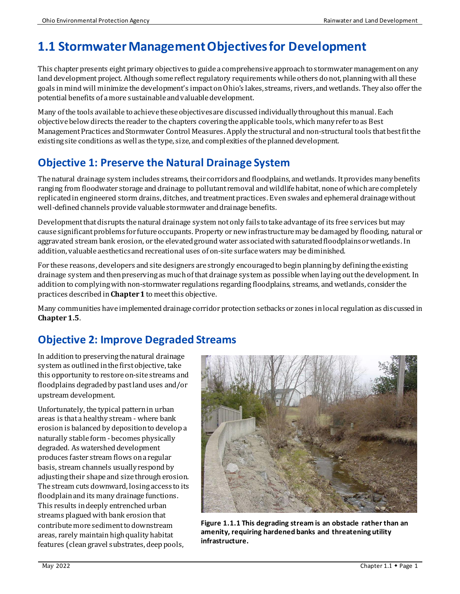# **1.1 Stormwater Management Objectives for Development**

This chapter presents eight primary objectives to guide a comprehensive approach to stormwater management on any land development project. Although some reflect regulatory requirements while others do not, planning with all these goals in mind will minimize thedevelopment's impact on Ohio's lakes, streams, rivers, and wetlands. They also offer the potential benefits of a more sustainable and valuable development.

Many of the tools available to achieve these objectives are discussed individually throughoutthis manual. Each objective below directs the reader to the chapters covering the applicable tools, which many refer to as Best Management Practices and Stormwater Control Measures. Apply the structural andnon-structural tools that best fitthe existing site conditions as well as the type, size, and complexities of the planned development.

## **Objective 1: Preserve the Natural Drainage System**

The natural drainage system includes streams, their corridors and floodplains, and wetlands. It provides many benefits ranging from floodwater storage and drainage to pollutant removal and wildlife habitat, none of which are completely replicated in engineered storm drains, ditches, and treatment practices. Even swales and ephemeral drainage without well-defined channels provide valuable stormwater and drainage benefits.

Development that disrupts the natural drainage system not only fails to take advantage of its free services but may cause significant problems for future occupants. Property or new infrastructure may be damaged by flooding, natural or aggravated stream bank erosion, or the elevated groundwater associated with saturated floodplains or wetlands. In addition, valuable aesthetics and recreational uses of on-site surface waters may be diminished.

For these reasons, developers and site designers are strongly encouraged to begin planning by defining the existing drainage system and then preserving as much of that drainage system as possiblewhen laying out the development. In addition to complying with non-stormwater regulations regarding floodplains, streams, and wetlands, consider the practices described in **Chapter 1** to meet this objective.

Many communities have implemented drainage corridor protection setbacks or zones inlocal regulation as discussed in **Chapter 1.5**.

## **Objective 2: Improve Degraded Streams**

In addition to preserving the natural drainage system as outlined in the first objective, take this opportunity to restore on-site streams and floodplains degraded by past land uses and/or upstream development.

Unfortunately, the typical pattern in urban areas is that a healthy stream - where bank erosion is balanced by deposition to develop a naturally stable form -becomes physically degraded. As watershed development produces faster stream flows on a regular basis, stream channels usuallyrespond by adjusting their shape and size through erosion. The stream cuts downward, losing access to its floodplain and its many drainage functions. This results in deeply entrenched urban streams plagued with bank erosion that contribute more sediment to downstream areas, rarely maintain high quality habitat features (clean gravel substrates, deep pools,



**Figure 1.1.1 This degrading stream is an obstacle rather than an amenity, requiring hardened banks and threatening utility infrastructure.**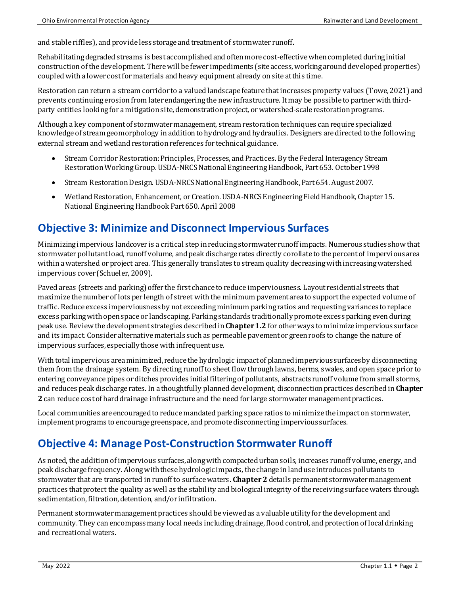and stable riffles), and provide less storage and treatment of stormwater runoff.

Rehabilitating degraded streams is best accomplished and often more cost-effectivewhen completed during initial construction of the development. There will be fewer impediments (site access, working around developed properties) coupled with a lower cost formaterials and heavy equipment already on site at this time.

Restoration canreturn a stream corridor to a valued landscape feature that increases property values (Towe, 2021) and prevents continuing erosion from later endangering the newinfrastructure. It may be possible to partner with thirdparty entities looking for a mitigation site, demonstration project, or watershed-scale restoration programs.

Although a key component of stormwater management, stream restoration techniques can require specialized knowledge of stream geomorphology in addition to hydrology and hydraulics. Designers are directed to the following external stream and wetland restoration references for technical guidance.

- Stream Corridor Restoration: Principles, Processes, and Practices, By the Federal Interagency Stream Restoration Working Group. USDA-NRCS National Engineering Handbook, Part 653. October 1998
- Stream Restoration Design. USDA-NRCS National Engineering Handbook, Part 654. August 2007.
- Wetland Restoration, Enhancement, or Creation. USDA-NRCS Engineering Field Handbook, Chapter 15. National Engineering Handbook Part 650. April 2008

### **Objective 3: Minimize and Disconnect Impervious Surfaces**

Minimizing impervious landcover is a critical step inreducing stormwater runoff impacts. Numerous studies show that stormwater pollutant load, runoff volume, and peak discharge rates directly corollate to the percent of impervious area within a watershed or project area. This generally translates to stream quality decreasing with increasing watershed impervious cover (Schueler, 2009).

Paved areas (streets and parking) offer the first chance to reduce imperviousness. Layout residential streets that maximize the number of lots per length of street with the minimum pavement area to support the expected volume of traffic. Reduce excess imperviousness by not exceeding minimum parking ratios andrequesting variances to replace excess parking with open space or landscaping. Parking standards traditionally promote excess parking even during peak use. Review the development strategies described in **Chapter 1.2** for other ways to minimize impervious surface and its impact. Consider alternative materials such as permeable pavement or green roofs to change the nature of impervious surfaces, especially those with infrequent use.

With total impervious area minimized, reduce the hydrologic impact of planned impervious surfaces by disconnecting them from the drainage system. By directing runoff to sheet flow through lawns, berms, swales, and open space prior to entering conveyance pipes or ditches provides initial filtering of pollutants, abstracts runoff volume from small storms, and reduces peak discharge rates. In a thoughtfully planned development, disconnection practices described in **Chapter 2** can reduce cost of hard drainage infrastructure and the need for large stormwater management practices.

Local communities are encouraged to reduce mandated parking space ratios to minimize the impact on stormwater, implement programs to encourage greenspace, and promote disconnecting impervious surfaces.

#### **Objective 4: Manage Post-Construction Stormwater Runoff**

As noted, the addition of impervious surfaces, along with compacted urban soils, increases runoff volume, energy, and peak discharge frequency. Along with these hydrologic impacts, the change in land use introduces pollutants to stormwater that are transported in runoff to surface waters. **Chapter 2** details permanent stormwater management practices that protect the quality as well as the stability and biological integrity of the receiving surface waters through sedimentation, filtration, detention, and/or infiltration.

Permanent stormwater management practices should be viewed as a valuable utilityfor the development and community. They can encompassmany local needs including drainage, flood control, and protection of local drinking and recreational waters.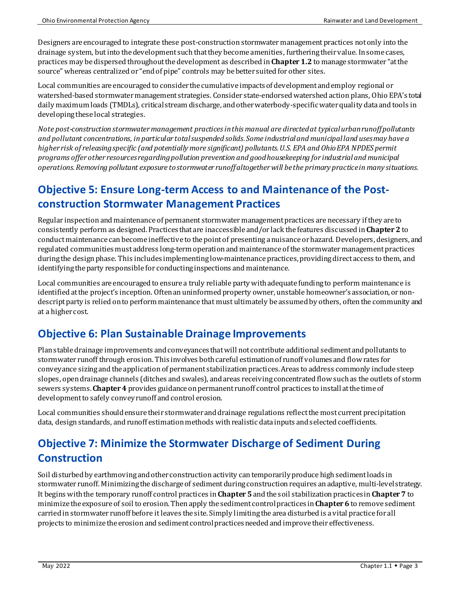Designers are encouraged to integrate these post-construction stormwater management practices not only into the drainage system, but into the development such that they become amenities, furthering their value. In some cases, practices may bedispersed throughout the development as described in **Chapter 1.2** to manage stormwater "at the source" whereas centralized or "end of pipe" controls may be better suited for other sites.

Local communities are encouraged to consider the cumulative impacts of development and employ regional or watershed-based stormwater management strategies. Consider state-endorsed watershed action plans, Ohio EPA's total daily maximum loads (TMDLs), critical stream discharge, and other waterbody-specific water quality data and tools in developing these local strategies.

*Note post-construction stormwater management practicesin this manual are directed at typical urban runoff pollutants and pollutant concentrations, in particular total suspended solids. Some industrial and municipal land uses may have a higher risk of releasingspecific (and potentially more significant) pollutants. U.S. EPA and Ohio EPA NPDES permit programs offer other resourcesregarding pollution prevention and good housekeeping for industrial and municipal operations.Removing pollutant exposure to stormwater runoff altogether will be the primary practice in many situations.*

## **Objective 5: Ensure Long-term Access to and Maintenance of the Postconstruction Stormwater Management Practices**

Regular inspection and maintenance of permanent stormwater management practices are necessary if they are to consistently perform as designed. Practices that are inaccessible and/or lack the features discussed in **Chapter 2** to conductmaintenance can become ineffective to the point of presenting a nuisance or hazard. Developers, designers, and regulated communitiesmust address long-term operation and maintenance of the stormwater management practices during the design phase. This includes implementing low-maintenance practices, providing direct access to them, and identifying the party responsible for conducting inspections and maintenance.

Local communities are encouraged to ensure a truly reliable party with adequate funding to perform maintenance is identified at the project's inception. Often an uninformed property owner, unstable homeowner's association, or nondescript party is relied on to perform maintenance that must ultimately be assumed by others, often the community and at a higher cost.

#### **Objective 6: Plan Sustainable Drainage Improvements**

Plan stable drainage improvements and conveyances that will not contribute additional sediment and pollutants to stormwater runoff through erosion. This involves both careful estimation of runoff volumes and flow rates for conveyance sizing and the application of permanent stabilization practices. Areas to address commonly include steep slopes, open drainage channels (ditches and swales), and areas receiving concentrated flow such as the outlets of storm sewers systems. **Chapter 4** provides guidance on permanent runoff control practices to installat the time of development to safely convey runoff and control erosion.

Local communities shouldensure their stormwater and drainage regulations reflect the most current precipitation data, design standards, and runoff estimation methods with realistic data inputs and selected coefficients.

# **Objective 7: Minimize the Stormwater Discharge of Sediment During Construction**

Soil disturbed by earthmoving and other construction activity can temporarily produce high sediment loads in stormwater runoff. Minimizing the discharge of sediment during construction requires an adaptive, multi-level strategy. It begins with the temporary runoff control practices in **Chapter 5** and the soil stabilization practices in**Chapter 7** to minimize the exposure of soil to erosion. Then apply the sediment control practices in**Chapter 6** to remove sediment carried in stormwater runoff before itleaves the site. Simply limiting the area disturbed is a vital practice for all projects to minimize the erosion and sediment control practices needed and improve their effectiveness.